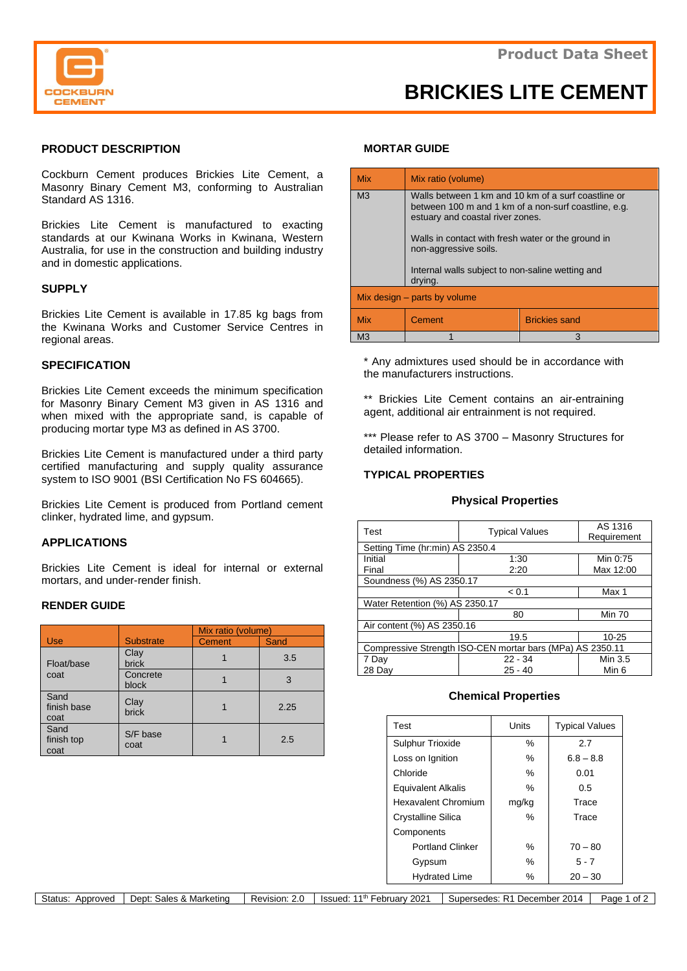

# **BRICKIES LITE CEMENT**

# **PRODUCT DESCRIPTION**

Cockburn Cement produces Brickies Lite Cement, a Masonry Binary Cement M3, conforming to Australian Standard AS 1316.

Brickies Lite Cement is manufactured to exacting standards at our Kwinana Works in Kwinana, Western Australia, for use in the construction and building industry and in domestic applications.

# **SUPPLY**

Brickies Lite Cement is available in 17.85 kg bags from the Kwinana Works and Customer Service Centres in regional areas.

# **SPECIFICATION**

Brickies Lite Cement exceeds the minimum specification for Masonry Binary Cement M3 given in AS 1316 and when mixed with the appropriate sand, is capable of producing mortar type M3 as defined in AS 3700.

Brickies Lite Cement is manufactured under a third party certified manufacturing and supply quality assurance system to ISO 9001 (BSI Certification No FS 604665).

Brickies Lite Cement is produced from Portland cement clinker, hydrated lime, and gypsum.

# **APPLICATIONS**

Brickies Lite Cement is ideal for internal or external mortars, and under-render finish.

#### **RENDER GUIDE**

|                             |                      | Mix ratio (volume) |             |
|-----------------------------|----------------------|--------------------|-------------|
| Use                         | <b>Substrate</b>     | <b>Cement</b>      | <b>Sand</b> |
| Float/base<br>coat          | Clay<br><b>brick</b> |                    | 3.5         |
|                             | Concrete<br>block    |                    | 3           |
| Sand<br>finish base<br>coat | Clay<br><b>brick</b> |                    | 2.25        |
| Sand<br>finish top<br>coat  | S/F base<br>coat     |                    | 2.5         |

#### **MORTAR GUIDE**

| <b>Mix</b>                   | Mix ratio (volume)                                                                                                                              |                      |  |  |  |
|------------------------------|-------------------------------------------------------------------------------------------------------------------------------------------------|----------------------|--|--|--|
| M <sub>3</sub>               | Walls between 1 km and 10 km of a surf coastline or<br>between 100 m and 1 km of a non-surf coastline, e.g.<br>estuary and coastal river zones. |                      |  |  |  |
|                              | Walls in contact with fresh water or the ground in<br>non-aggressive soils.<br>Internal walls subject to non-saline wetting and                 |                      |  |  |  |
| drying.                      |                                                                                                                                                 |                      |  |  |  |
| Mix design – parts by volume |                                                                                                                                                 |                      |  |  |  |
| <b>Mix</b>                   | Cement                                                                                                                                          | <b>Brickies sand</b> |  |  |  |
| M <sub>3</sub>               |                                                                                                                                                 | 3                    |  |  |  |

\* Any admixtures used should be in accordance with the manufacturers instructions.

\*\* Brickies Lite Cement contains an air-entraining agent, additional air entrainment is not required.

\*\*\* Please refer to AS 3700 - Masonry Structures for detailed information.

# **TYPICAL PROPERTIES**

#### **Physical Properties**

| Test                                                      | <b>Typical Values</b> | AS 1316<br>Requirement |  |  |  |
|-----------------------------------------------------------|-----------------------|------------------------|--|--|--|
| Setting Time (hr:min) AS 2350.4                           |                       |                        |  |  |  |
| Initial                                                   | 1:30                  | Min 0:75               |  |  |  |
| Final                                                     | 2:20                  | Max 12:00              |  |  |  |
| Soundness (%) AS 2350.17                                  |                       |                        |  |  |  |
|                                                           | < 0.1                 | Max 1                  |  |  |  |
| Water Retention (%) AS 2350.17                            |                       |                        |  |  |  |
|                                                           | 80                    | <b>Min 70</b>          |  |  |  |
| Air content (%) AS 2350.16                                |                       |                        |  |  |  |
|                                                           | 19.5                  | $10 - 25$              |  |  |  |
| Compressive Strength ISO-CEN mortar bars (MPa) AS 2350.11 |                       |                        |  |  |  |
| 7 Day                                                     | $22 - 34$             | Min 3.5                |  |  |  |
| 28 Day                                                    | $25 - 40$             | Min 6                  |  |  |  |

#### **Chemical Properties**

| Test                      | Units | <b>Typical Values</b> |
|---------------------------|-------|-----------------------|
| <b>Sulphur Trioxide</b>   | %     | 2.7                   |
| Loss on Ignition          | ℅     | $6.8 - 8.8$           |
| Chloride                  | $\%$  | 0.01                  |
| <b>Equivalent Alkalis</b> | ℅     | 0.5                   |
| Hexavalent Chromium       | mg/kg | Trace                 |
| <b>Crystalline Silica</b> | ℅     | Trace                 |
| Components                |       |                       |
| <b>Portland Clinker</b>   | ℅     | $70 - 80$             |
| Gypsum                    | ℅     | $5 - 7$               |
| <b>Hydrated Lime</b>      | ℅     | $20 - 30$             |